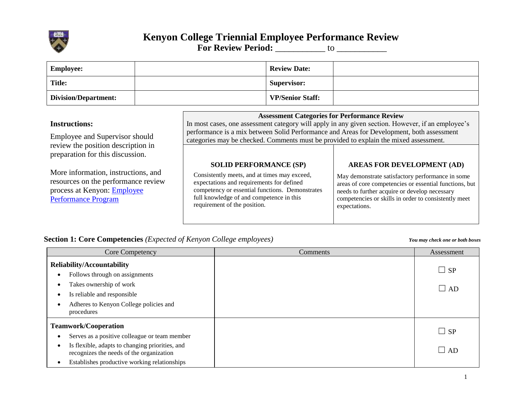

# **Kenyon College Triennial Employee Performance Review For Review Period:** \_\_\_\_\_\_\_\_\_\_ to \_\_\_\_\_\_\_\_\_\_\_\_

| <b>Employee:</b>                                                                                                                                                                                                                                                                   |  |                                                                                                                                                                                                                                                                                                                                                                                                                                                                                                                                                                                                             | <b>Review Date:</b>     |                                                                                                                                                                                                                                                                           |
|------------------------------------------------------------------------------------------------------------------------------------------------------------------------------------------------------------------------------------------------------------------------------------|--|-------------------------------------------------------------------------------------------------------------------------------------------------------------------------------------------------------------------------------------------------------------------------------------------------------------------------------------------------------------------------------------------------------------------------------------------------------------------------------------------------------------------------------------------------------------------------------------------------------------|-------------------------|---------------------------------------------------------------------------------------------------------------------------------------------------------------------------------------------------------------------------------------------------------------------------|
| <b>Title:</b>                                                                                                                                                                                                                                                                      |  |                                                                                                                                                                                                                                                                                                                                                                                                                                                                                                                                                                                                             | <b>Supervisor:</b>      |                                                                                                                                                                                                                                                                           |
| <b>Division/Department:</b>                                                                                                                                                                                                                                                        |  |                                                                                                                                                                                                                                                                                                                                                                                                                                                                                                                                                                                                             | <b>VP/Senior Staff:</b> |                                                                                                                                                                                                                                                                           |
| <b>Instructions:</b><br>Employee and Supervisor should<br>review the position description in<br>preparation for this discussion.<br>More information, instructions, and<br>resources on the performance review<br>process at Kenyon: <b>Employee</b><br><b>Performance Program</b> |  | <b>Assessment Categories for Performance Review</b><br>In most cases, one assessment category will apply in any given section. However, if an employee's<br>performance is a mix between Solid Performance and Areas for Development, both assessment<br>categories may be checked. Comments must be provided to explain the mixed assessment.<br><b>SOLID PERFORMANCE (SP)</b><br>Consistently meets, and at times may exceed,<br>expectations and requirements for defined<br>competency or essential functions. Demonstrates<br>full knowledge of and competence in this<br>requirement of the position. |                         | <b>AREAS FOR DEVELOPMENT (AD)</b><br>May demonstrate satisfactory performance in some<br>areas of core competencies or essential functions, but<br>needs to further acquire or develop necessary<br>competencies or skills in order to consistently meet<br>expectations. |

## **Section 1: Core Competencies** *(Expected of Kenyon College employees) You may check one or both boxes*

| Core Competency                                                                                                                                                                                                             | Comments | Assessment                |
|-----------------------------------------------------------------------------------------------------------------------------------------------------------------------------------------------------------------------------|----------|---------------------------|
| <b>Reliability/Accountability</b><br>Follows through on assignments<br>Takes ownership of work<br>Is reliable and responsible<br>Adheres to Kenyon College policies and<br>procedures                                       |          | $\Box$ SP<br>$\square$ AD |
| <b>Teamwork/Cooperation</b><br>Serves as a positive colleague or team member<br>Is flexible, adapts to changing priorities, and<br>recognizes the needs of the organization<br>Establishes productive working relationships |          | $\Box$ SP<br>$\Box$ AD    |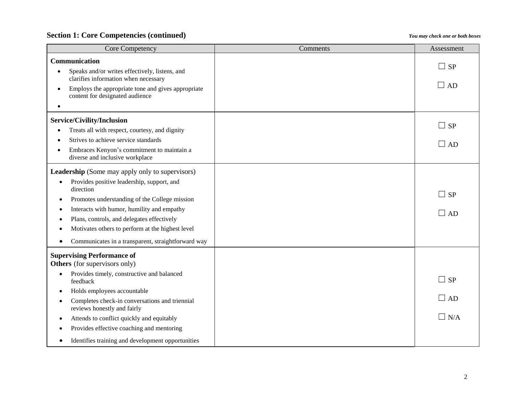### **Section 1: Core Competencies (continued)** *You may check one or both boxes*

| Core Competency                                                                                    | Comments | Assessment                  |
|----------------------------------------------------------------------------------------------------|----------|-----------------------------|
| Communication                                                                                      |          |                             |
| Speaks and/or writes effectively, listens, and<br>clarifies information when necessary             |          | $\Box$<br><b>SP</b>         |
| Employs the appropriate tone and gives appropriate<br>$\bullet$<br>content for designated audience |          | $\Box$ AD                   |
| Service/Civility/Inclusion                                                                         |          |                             |
| Treats all with respect, courtesy, and dignity<br>$\bullet$                                        |          | <b>SP</b><br>$\blacksquare$ |
| Strives to achieve service standards                                                               |          | $\square$ AD                |
| Embraces Kenyon's commitment to maintain a<br>$\bullet$<br>diverse and inclusive workplace         |          |                             |
| <b>Leadership</b> (Some may apply only to supervisors)                                             |          |                             |
| Provides positive leadership, support, and<br>$\bullet$<br>direction                               |          |                             |
| Promotes understanding of the College mission<br>٠                                                 |          | $\Box$<br><b>SP</b>         |
| Interacts with humor, humility and empathy<br>٠                                                    |          | $\Box$ AD                   |
| Plans, controls, and delegates effectively                                                         |          |                             |
| Motivates others to perform at the highest level                                                   |          |                             |
| Communicates in a transparent, straightforward way<br>$\bullet$                                    |          |                             |
| <b>Supervising Performance of</b><br><b>Others</b> (for supervisors only)                          |          |                             |
| Provides timely, constructive and balanced<br>$\bullet$<br>feedback                                |          | <b>SP</b><br>$\Box$         |
| Holds employees accountable<br>$\bullet$                                                           |          |                             |
| Completes check-in conversations and triennial<br>٠<br>reviews honestly and fairly                 |          | $\square$ AD                |
| Attends to conflict quickly and equitably<br>٠                                                     |          | $\Box$ N/A                  |
| Provides effective coaching and mentoring<br>$\bullet$                                             |          |                             |
| Identifies training and development opportunities<br>$\bullet$                                     |          |                             |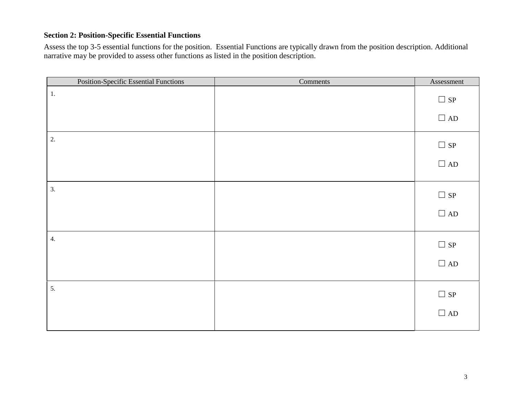#### **Section 2: Position-Specific Essential Functions**

Assess the top 3-5 essential functions for the position. Essential Functions are typically drawn from the position description. Additional narrative may be provided to assess other functions as listed in the position description.

| Position-Specific Essential Functions | Comments | Assessment |
|---------------------------------------|----------|------------|
| 1.                                    |          | $\Box$ sp  |
|                                       |          | $\Box$ AD  |
| 2.                                    |          | $\Box$ sp  |
|                                       |          | $\Box$ AD  |
| 3.                                    |          | $\Box$ sp  |
|                                       |          | $\Box$ AD  |
| 4.                                    |          | $\Box$ sp  |
|                                       |          | $\Box$ AD  |
| 5.                                    |          | $\Box$ sp  |
|                                       |          | $\Box$ AD  |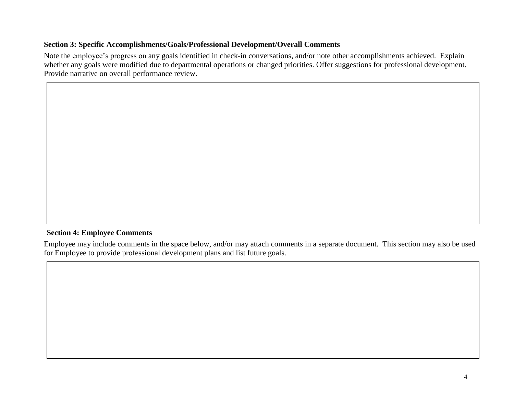#### **Section 3: Specific Accomplishments/Goals/Professional Development/Overall Comments**

Note the employee's progress on any goals identified in check-in conversations, and/or note other accomplishments achieved. Explain whether any goals were modified due to departmental operations or changed priorities. Offer suggestions for professional development. Provide narrative on overall performance review.

#### **Section 4: Employee Comments**

Employee may include comments in the space below, and/or may attach comments in a separate document. This section may also be used for Employee to provide professional development plans and list future goals.